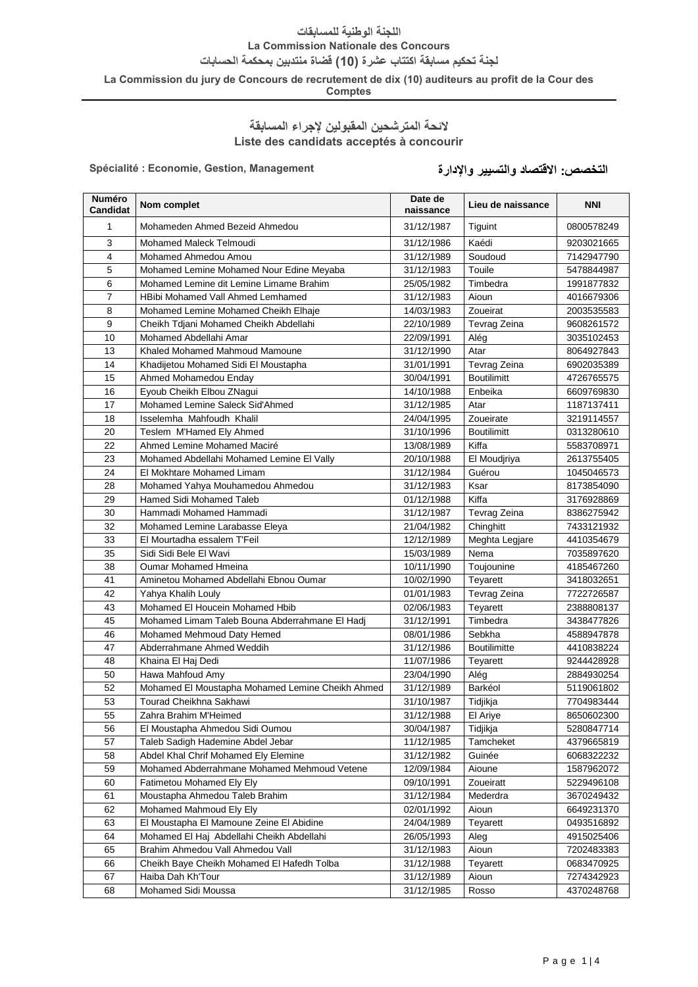### **اللجنة الوطنية للمسابقات**

**La Commission Nationale des Concours**

**لجنة تحكيم مسابقة اكتتاب عشرة )01( قضاة منتدبين بمحكمة الحسابات**

**La Commission du jury de Concours de recrutement de dix (10) auditeurs au profit de la Cour des** 

**Comptes**

## **الئحة المترشحين المقبولين إلجراء المسابقة Liste des candidats acceptés à concourir**

**التخصص: االقتصاد والتسيير واإلدارة Management ,Gestion ,Economie : Spécialité**

| <b>Numéro</b><br><b>Candidat</b> | Nom complet                                      | Date de<br>naissance | Lieu de naissance   | <b>NNI</b> |
|----------------------------------|--------------------------------------------------|----------------------|---------------------|------------|
| 1                                | Mohameden Ahmed Bezeid Ahmedou                   | 31/12/1987           | Tiguint             | 0800578249 |
| 3                                | Mohamed Maleck Telmoudi                          | 31/12/1986           | Kaédi               | 9203021665 |
| 4                                | Mohamed Ahmedou Amou                             | 31/12/1989           | Soudoud             | 7142947790 |
| 5                                | Mohamed Lemine Mohamed Nour Edine Meyaba         | 31/12/1983           | Touile              | 5478844987 |
| 6                                | Mohamed Lemine dit Lemine Limame Brahim          | 25/05/1982           | Timbedra            | 1991877832 |
| $\overline{7}$                   | HBibi Mohamed Vall Ahmed Lemhamed                | 31/12/1983           | Aioun               | 4016679306 |
| 8                                | Mohamed Lemine Mohamed Cheikh Elhaje             | 14/03/1983           | Zoueirat            | 2003535583 |
| 9                                | Cheikh Tdjani Mohamed Cheikh Abdellahi           | 22/10/1989           | Tevrag Zeina        | 9608261572 |
| 10                               | Mohamed Abdellahi Amar                           | 22/09/1991           | Alég                | 3035102453 |
| 13                               | Khaled Mohamed Mahmoud Mamoune                   | 31/12/1990           | Atar                | 8064927843 |
| 14                               | Khadijetou Mohamed Sidi El Moustapha             | 31/01/1991           | Tevrag Zeina        | 6902035389 |
| 15                               | Ahmed Mohamedou Enday                            | 30/04/1991           | <b>Boutilimitt</b>  | 4726765575 |
| 16                               | Eyoub Cheikh Elbou ZNagui                        | 14/10/1988           | Enbeika             | 6609769830 |
| 17                               | Mohamed Lemine Saleck Sid'Ahmed                  | 31/12/1985           | Atar                | 1187137411 |
| 18                               | Isselemha Mahfoudh Khalil                        | 24/04/1995           | Zoueirate           | 3219114557 |
| 20                               | Teslem M'Hamed Ely Ahmed                         | 31/10/1996           | <b>Boutilimitt</b>  | 0313280610 |
| 22                               | Ahmed Lemine Mohamed Maciré                      | 13/08/1989           | Kiffa               | 5583708971 |
| 23                               | Mohamed Abdellahi Mohamed Lemine El Vally        | 20/10/1988           | El Moudjriya        | 2613755405 |
| 24                               | El Mokhtare Mohamed Limam                        | 31/12/1984           | Guérou              | 1045046573 |
| 28                               | Mohamed Yahya Mouhamedou Ahmedou                 | 31/12/1983           | Ksar                | 8173854090 |
| 29                               | Hamed Sidi Mohamed Taleb                         | 01/12/1988           | Kiffa               | 3176928869 |
| 30                               | Hammadi Mohamed Hammadi                          | 31/12/1987           | Tevrag Zeina        | 8386275942 |
| 32                               | Mohamed Lemine Larabasse Eleya                   | 21/04/1982           | Chinghitt           | 7433121932 |
| 33                               | El Mourtadha essalem T'Feil                      | 12/12/1989           | Meghta Legjare      | 4410354679 |
| 35                               | Sidi Sidi Bele El Wavi                           | 15/03/1989           | Nema                | 7035897620 |
| 38                               | <b>Oumar Mohamed Hmeina</b>                      | 10/11/1990           | Toujounine          | 4185467260 |
| 41                               | Aminetou Mohamed Abdellahi Ebnou Oumar           | 10/02/1990           | Teyarett            | 3418032651 |
| 42                               | Yahya Khalih Louly                               | 01/01/1983           | Tevrag Zeina        | 7722726587 |
| 43                               | Mohamed El Houcein Mohamed Hbib                  | 02/06/1983           | Teyarett            | 2388808137 |
| 45                               | Mohamed Limam Taleb Bouna Abderrahmane El Hadj   | 31/12/1991           | Timbedra            | 3438477826 |
| 46                               | Mohamed Mehmoud Daty Hemed                       | 08/01/1986           | Sebkha              | 4588947878 |
| 47                               | Abderrahmane Ahmed Weddih                        | 31/12/1986           | <b>Boutilimitte</b> | 4410838224 |
| 48                               | Khaina El Haj Dedi                               | 11/07/1986           | Teyarett            | 9244428928 |
| 50                               | Hawa Mahfoud Amy                                 | 23/04/1990           | Alég                | 2884930254 |
| 52                               | Mohamed El Moustapha Mohamed Lemine Cheikh Ahmed | 31/12/1989           | Barkéol             | 5119061802 |
| 53                               | Tourad Cheikhna Sakhawi                          | 31/10/1987           | Tidjikja            | 7704983444 |
| 55                               | Zahra Brahim M'Heimed                            | 31/12/1988           | El Ariye            | 8650602300 |
| 56                               | El Moustapha Ahmedou Sidi Oumou                  | 30/04/1987           | Tidjikja            | 5280847714 |
| 57                               | Taleb Sadigh Hademine Abdel Jebar                | 11/12/1985           | Tamcheket           | 4379665819 |
| 58                               | Abdel Khal Chrif Mohamed Ely Elemine             | 31/12/1982           | Guinée              | 6068322232 |
| 59                               | Mohamed Abderrahmane Mohamed Mehmoud Vetene      | 12/09/1984           | Aioune              | 1587962072 |
| 60                               | Fatimetou Mohamed Ely Ely                        | 09/10/1991           | Zoueiratt           | 5229496108 |
| 61                               | Moustapha Ahmedou Taleb Brahim                   | 31/12/1984           | Mederdra            | 3670249432 |
| 62                               | Mohamed Mahmoud Ely Ely                          | 02/01/1992           | Aioun               | 6649231370 |
| 63                               | El Moustapha El Mamoune Zeine El Abidine         | 24/04/1989           | Teyarett            | 0493516892 |
| 64                               | Mohamed El Haj Abdellahi Cheikh Abdellahi        | 26/05/1993           | Aleg                | 4915025406 |
| 65                               | Brahim Ahmedou Vall Ahmedou Vall                 | 31/12/1983           | Aioun               | 7202483383 |
| 66                               | Cheikh Baye Cheikh Mohamed El Hafedh Tolba       | 31/12/1988           | Teyarett            | 0683470925 |
| 67                               | Haiba Dah Kh'Tour                                | 31/12/1989           | Aioun               | 7274342923 |
| 68                               | Mohamed Sidi Moussa                              | 31/12/1985           | Rosso               | 4370248768 |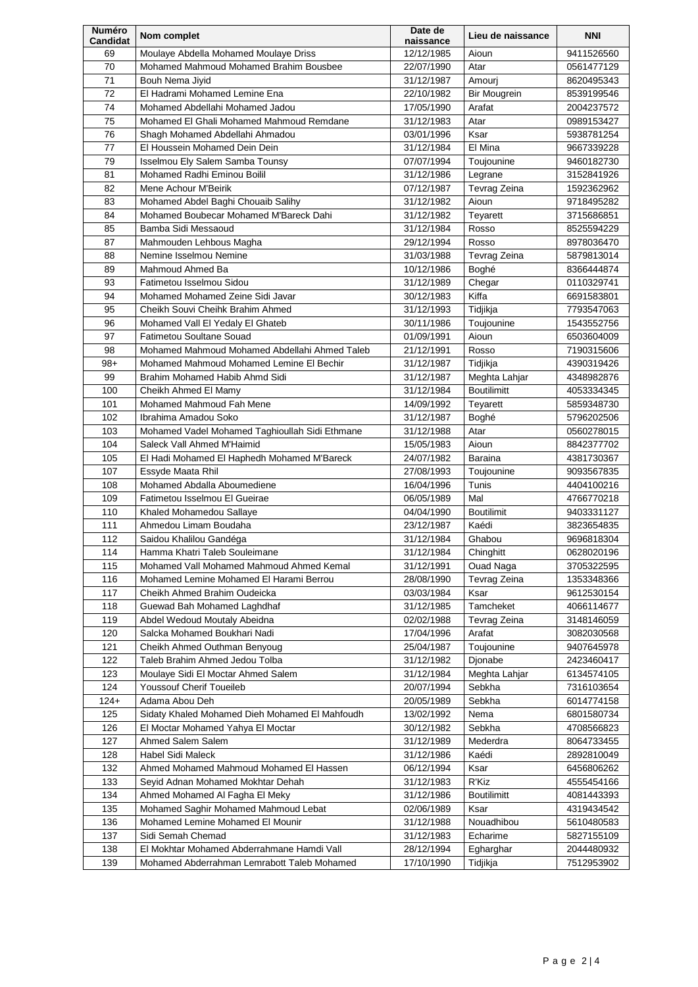| Numéro<br><b>Candidat</b> | Nom complet                                                              | Date de<br>naissance     | Lieu de naissance   | <b>NNI</b> |
|---------------------------|--------------------------------------------------------------------------|--------------------------|---------------------|------------|
| 69                        | Moulaye Abdella Mohamed Moulaye Driss                                    | 12/12/1985               | Aioun               | 9411526560 |
| 70                        | Mohamed Mahmoud Mohamed Brahim Bousbee                                   | 22/07/1990               | Atar                | 0561477129 |
| 71                        | Bouh Nema Jiyid                                                          | 31/12/1987               | Amouri              | 8620495343 |
| 72                        | El Hadrami Mohamed Lemine Ena                                            | 22/10/1982               | <b>Bir Mougrein</b> | 8539199546 |
| 74                        | Mohamed Abdellahi Mohamed Jadou                                          | 17/05/1990               | Arafat              | 2004237572 |
| 75                        | Mohamed El Ghali Mohamed Mahmoud Remdane                                 | 31/12/1983               | Atar                | 0989153427 |
| 76                        | Shagh Mohamed Abdellahi Ahmadou                                          | 03/01/1996               | Ksar                | 5938781254 |
| 77                        | El Houssein Mohamed Dein Dein                                            | 31/12/1984               | El Mina             | 9667339228 |
| 79                        | Isselmou Ely Salem Samba Tounsy                                          | 07/07/1994               | Toujounine          | 9460182730 |
| 81                        | Mohamed Radhi Eminou Boilil                                              | 31/12/1986               | Legrane             | 3152841926 |
| 82                        | Mene Achour M'Beirik                                                     | 07/12/1987               | Tevrag Zeina        | 1592362962 |
| 83                        | Mohamed Abdel Baghi Chouaib Salihy                                       | 31/12/1982               | Aioun               | 9718495282 |
| 84                        | Mohamed Boubecar Mohamed M'Bareck Dahi                                   | 31/12/1982               | Teyarett            | 3715686851 |
| 85                        | Bamba Sidi Messaoud                                                      | 31/12/1984               | Rosso               | 8525594229 |
| 87                        | Mahmouden Lehbous Magha                                                  | 29/12/1994               | Rosso               | 8978036470 |
| 88                        | Nemine Isselmou Nemine                                                   | 31/03/1988               | Tevrag Zeina        | 5879813014 |
| 89                        | Mahmoud Ahmed Ba                                                         | 10/12/1986               | Boghé               | 8366444874 |
| 93                        | Fatimetou Isselmou Sidou                                                 | 31/12/1989               | Chegar              | 0110329741 |
| 94                        | Mohamed Mohamed Zeine Sidi Javar                                         | 30/12/1983               | Kiffa               | 6691583801 |
| 95                        | Cheikh Souvi Cheihk Brahim Ahmed                                         | 31/12/1993               | Tidjikja            | 7793547063 |
| 96                        | Mohamed Vall El Yedaly El Ghateb                                         | 30/11/1986               | Toujounine          | 1543552756 |
| 97                        | <b>Fatimetou Soultane Souad</b>                                          | 01/09/1991               | Aioun               | 6503604009 |
| 98                        | Mohamed Mahmoud Mohamed Abdellahi Ahmed Taleb                            | 21/12/1991               | Rosso               | 7190315606 |
| $98+$                     | Mohamed Mahmoud Mohamed Lemine El Bechir                                 | 31/12/1987               | Tidjikja            | 4390319426 |
| 99                        | Brahim Mohamed Habib Ahmd Sidi                                           | 31/12/1987               | Meghta Lahjar       | 4348982876 |
| 100                       | Cheikh Ahmed El Mamy                                                     | 31/12/1984               | <b>Boutilimitt</b>  | 4053334345 |
| 101                       | Mohamed Mahmoud Fah Mene                                                 | 14/09/1992               | Teyarett            | 5859348730 |
| 102                       | Ibrahima Amadou Soko                                                     | 31/12/1987               | Boghé               | 5796202506 |
| 103                       | Mohamed Vadel Mohamed Taghioullah Sidi Ethmane                           | 31/12/1988               | Atar                | 0560278015 |
| 104                       | Saleck Vall Ahmed M'Haimid                                               | 15/05/1983               | Aioun               | 8842377702 |
| 105                       | El Hadi Mohamed El Haphedh Mohamed M'Bareck                              | 24/07/1982               | Baraina             | 4381730367 |
| 107                       | Essyde Maata Rhil                                                        | 27/08/1993               | Toujounine          | 9093567835 |
| 108                       | Mohamed Abdalla Aboumediene                                              | 16/04/1996               | Tunis               | 4404100216 |
| 109                       | Fatimetou Isselmou El Gueirae                                            | 06/05/1989               | Mal                 | 4766770218 |
| 110                       | Khaled Mohamedou Sallaye                                                 | 04/04/1990               | <b>Boutilimit</b>   | 9403331127 |
| 111                       | Ahmedou Limam Boudaha                                                    | 23/12/1987               | Kaédi               | 3823654835 |
| 112                       | Saidou Khalilou Gandéga                                                  | 31/12/1984               | Ghabou              | 9696818304 |
| 114                       | Hamma Khatri Taleb Souleimane                                            | 31/12/1984               | Chinghitt           | 0628020196 |
| 115                       | Mohamed Vall Mohamed Mahmoud Ahmed Kemal                                 | 31/12/1991               | <b>Ouad Naga</b>    | 3705322595 |
| 116                       | Mohamed Lemine Mohamed El Harami Berrou                                  | 28/08/1990               | Tevrag Zeina        | 1353348366 |
| 117                       | Cheikh Ahmed Brahim Oudeicka                                             | 03/03/1984               | Ksar                | 9612530154 |
| 118                       | Guewad Bah Mohamed Laghdhaf                                              | 31/12/1985               | Tamcheket           | 4066114677 |
| 119                       | Abdel Wedoud Moutaly Abeidna                                             | 02/02/1988               | Tevrag Zeina        | 3148146059 |
| 120                       | Salcka Mohamed Boukhari Nadi                                             | 17/04/1996               | Arafat              | 3082030568 |
| 121                       | Cheikh Ahmed Outhman Benyoug                                             | 25/04/1987               | Toujounine          | 9407645978 |
| 122                       | Taleb Brahim Ahmed Jedou Tolba                                           | 31/12/1982               | Djonabe             | 2423460417 |
| 123                       | Moulaye Sidi El Moctar Ahmed Salem                                       | 31/12/1984               | Meghta Lahjar       | 6134574105 |
| 124                       | Youssouf Cherif Toueileb                                                 | 20/07/1994               | Sebkha              | 7316103654 |
| $124+$                    | Adama Abou Deh                                                           | 20/05/1989               | Sebkha              | 6014774158 |
| 125                       | Sidaty Khaled Mohamed Dieh Mohamed El Mahfoudh                           | 13/02/1992               | Nema                | 6801580734 |
| 126                       | El Moctar Mohamed Yahya El Moctar                                        | 30/12/1982               | Sebkha              | 4708566823 |
| 127                       | Ahmed Salem Salem                                                        | 31/12/1989               | Mederdra            | 8064733455 |
| 128                       | Habel Sidi Maleck                                                        | 31/12/1986               | Kaédi               | 2892810049 |
| 132                       | Ahmed Mohamed Mahmoud Mohamed El Hassen                                  | 06/12/1994               | Ksar                | 6456806262 |
| 133                       | Seyid Adnan Mohamed Mokhtar Dehah                                        | 31/12/1983               | R'Kiz               | 4555454166 |
| 134                       | Ahmed Mohamed Al Fagha El Meky                                           | 31/12/1986               | <b>Boutilimitt</b>  | 4081443393 |
| 135<br>136                | Mohamed Saghir Mohamed Mahmoud Lebat<br>Mohamed Lemine Mohamed El Mounir | 02/06/1989<br>31/12/1988 | Ksar<br>Nouadhibou  | 4319434542 |
| 137                       | Sidi Semah Chemad                                                        |                          | Echarime            | 5610480583 |
| 138                       | El Mokhtar Mohamed Abderrahmane Hamdi Vall                               | 31/12/1983               |                     | 5827155109 |
| 139                       | Mohamed Abderrahman Lemrabott Taleb Mohamed                              | 28/12/1994               | Egharghar           | 2044480932 |
|                           |                                                                          | 17/10/1990               | Tidjikja            | 7512953902 |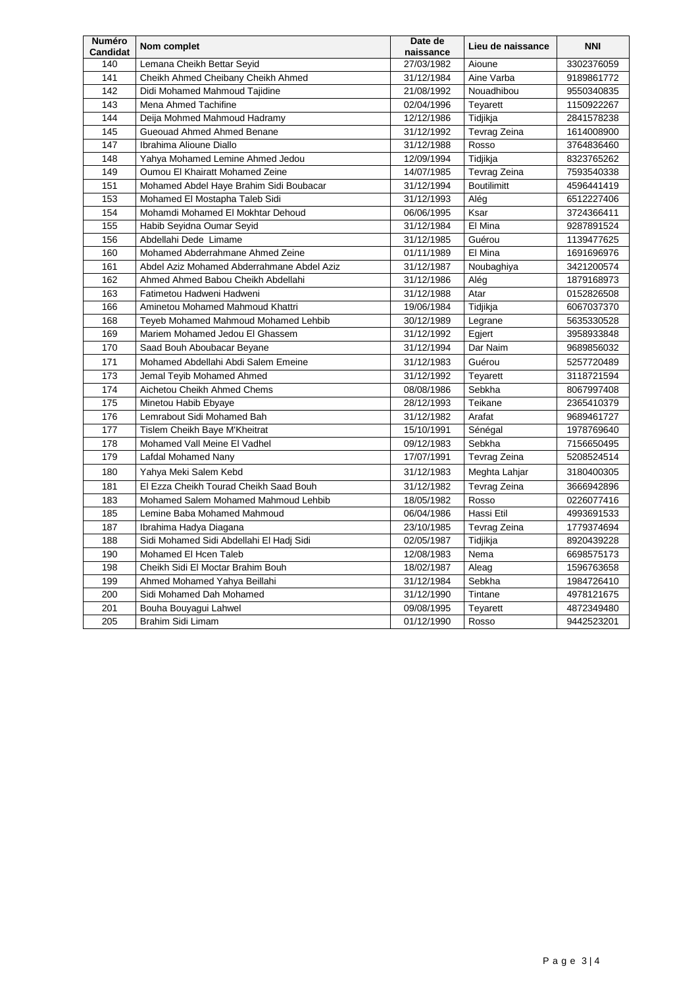| <b>Numéro</b><br><b>Candidat</b> | Nom complet                                | Date de<br>naissance | Lieu de naissance  | <b>NNI</b> |
|----------------------------------|--------------------------------------------|----------------------|--------------------|------------|
| 140                              | Lemana Cheikh Bettar Seyid                 | 27/03/1982           | Aioune             | 3302376059 |
| 141                              | Cheikh Ahmed Cheibany Cheikh Ahmed         | 31/12/1984           | Aine Varba         | 9189861772 |
| 142                              | Didi Mohamed Mahmoud Tajidine              | 21/08/1992           | Nouadhibou         | 9550340835 |
| 143                              | Mena Ahmed Tachifine                       | 02/04/1996           | Teyarett           | 1150922267 |
| 144                              | Deija Mohmed Mahmoud Hadramy               | 12/12/1986           | Tidjikja           | 2841578238 |
| 145                              | Gueouad Ahmed Ahmed Benane                 | 31/12/1992           | Tevrag Zeina       | 1614008900 |
| 147                              | Ibrahima Alioune Diallo                    | 31/12/1988           | Rosso              | 3764836460 |
| 148                              | Yahya Mohamed Lemine Ahmed Jedou           | 12/09/1994           | Tidiikja           | 8323765262 |
| 149                              | Oumou El Khairatt Mohamed Zeine            | 14/07/1985           | Tevrag Zeina       | 7593540338 |
| 151                              | Mohamed Abdel Haye Brahim Sidi Boubacar    | 31/12/1994           | <b>Boutilimitt</b> | 4596441419 |
| 153                              | Mohamed El Mostapha Taleb Sidi             | 31/12/1993           | Alég               | 6512227406 |
| 154                              | Mohamdi Mohamed El Mokhtar Dehoud          | 06/06/1995           | Ksar               | 3724366411 |
| 155                              | Habib Seyidna Oumar Seyid                  | 31/12/1984           | El Mina            | 9287891524 |
| 156                              | Abdellahi Dede Limame                      | 31/12/1985           | Guérou             | 1139477625 |
| 160                              | Mohamed Abderrahmane Ahmed Zeine           | 01/11/1989           | El Mina            | 1691696976 |
| 161                              | Abdel Aziz Mohamed Abderrahmane Abdel Aziz | 31/12/1987           | Noubaghiya         | 3421200574 |
| 162                              | Ahmed Ahmed Babou Cheikh Abdellahi         | 31/12/1986           | Alég               | 1879168973 |
| 163                              | Fatimetou Hadweni Hadweni                  | 31/12/1988           | Atar               | 0152826508 |
| 166                              | Aminetou Mohamed Mahmoud Khattri           | 19/06/1984           | Tidjikja           | 6067037370 |
| 168                              | Teyeb Mohamed Mahmoud Mohamed Lehbib       | 30/12/1989           | Legrane            | 5635330528 |
| 169                              | Mariem Mohamed Jedou El Ghassem            | 31/12/1992           | Egjert             | 3958933848 |
| 170                              | Saad Bouh Aboubacar Beyane                 | 31/12/1994           | Dar Naim           | 9689856032 |
| 171                              | Mohamed Abdellahi Abdi Salem Emeine        | 31/12/1983           | Guérou             | 5257720489 |
| 173                              | Jemal Teyib Mohamed Ahmed                  | 31/12/1992           | Teyarett           | 3118721594 |
| 174                              | Aichetou Cheikh Ahmed Chems                | 08/08/1986           | Sebkha             | 8067997408 |
| 175                              | Minetou Habib Ebyaye                       | 28/12/1993           | Teikane            | 2365410379 |
| 176                              | Lemrabout Sidi Mohamed Bah                 | 31/12/1982           | Arafat             | 9689461727 |
| 177                              | Tislem Cheikh Baye M'Kheitrat              | 15/10/1991           | Sénégal            | 1978769640 |
| 178                              | Mohamed Vall Meine El Vadhel               | 09/12/1983           | Sebkha             | 7156650495 |
| 179                              | Lafdal Mohamed Nany                        | 17/07/1991           | Tevrag Zeina       | 5208524514 |
| 180                              | Yahya Meki Salem Kebd                      | 31/12/1983           | Meghta Lahjar      | 3180400305 |
| 181                              | El Ezza Cheikh Tourad Cheikh Saad Bouh     | 31/12/1982           | Tevrag Zeina       | 3666942896 |
| 183                              | Mohamed Salem Mohamed Mahmoud Lehbib       | 18/05/1982           | Rosso              | 0226077416 |
| 185                              | Lemine Baba Mohamed Mahmoud                | 06/04/1986           | Hassi Etil         | 4993691533 |
| 187                              | Ibrahima Hadya Diagana                     | 23/10/1985           | Tevrag Zeina       | 1779374694 |
| 188                              | Sidi Mohamed Sidi Abdellahi El Hadj Sidi   | 02/05/1987           | Tidjikja           | 8920439228 |
| 190                              | Mohamed El Hcen Taleb                      | 12/08/1983           | Nema               | 6698575173 |
| 198                              | Cheikh Sidi El Moctar Brahim Bouh          | 18/02/1987           | Aleag              | 1596763658 |
| 199                              | Ahmed Mohamed Yahya Beillahi               | 31/12/1984           | Sebkha             | 1984726410 |
| 200                              | Sidi Mohamed Dah Mohamed                   | 31/12/1990           | Tintane            | 4978121675 |
| 201                              | Bouha Bouyagui Lahwel                      | 09/08/1995           | Teyarett           | 4872349480 |
| 205                              | Brahim Sidi Limam                          | 01/12/1990           | Rosso              | 9442523201 |